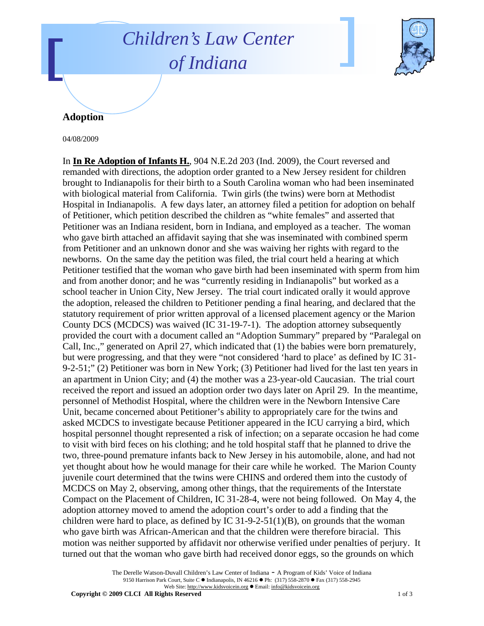## *Children's Law Center of Indiana*



## **Adoption**

04/08/2009

In **In Re Adoption of Infants H.**, 904 N.E.2d 203 (Ind. 2009), the Court reversed and remanded with directions, the adoption order granted to a New Jersey resident for children brought to Indianapolis for their birth to a South Carolina woman who had been inseminated with biological material from California. Twin girls (the twins) were born at Methodist Hospital in Indianapolis. A few days later, an attorney filed a petition for adoption on behalf of Petitioner, which petition described the children as "white females" and asserted that Petitioner was an Indiana resident, born in Indiana, and employed as a teacher. The woman who gave birth attached an affidavit saying that she was inseminated with combined sperm from Petitioner and an unknown donor and she was waiving her rights with regard to the newborns. On the same day the petition was filed, the trial court held a hearing at which Petitioner testified that the woman who gave birth had been inseminated with sperm from him and from another donor; and he was "currently residing in Indianapolis" but worked as a school teacher in Union City, New Jersey. The trial court indicated orally it would approve the adoption, released the children to Petitioner pending a final hearing, and declared that the statutory requirement of prior written approval of a licensed placement agency or the Marion County DCS (MCDCS) was waived (IC 31-19-7-1). The adoption attorney subsequently provided the court with a document called an "Adoption Summary" prepared by "Paralegal on Call, Inc.," generated on April 27, which indicated that (1) the babies were born prematurely, but were progressing, and that they were "not considered 'hard to place' as defined by IC 31- 9-2-51;" (2) Petitioner was born in New York; (3) Petitioner had lived for the last ten years in an apartment in Union City; and (4) the mother was a 23-year-old Caucasian. The trial court received the report and issued an adoption order two days later on April 29. In the meantime, personnel of Methodist Hospital, where the children were in the Newborn Intensive Care Unit, became concerned about Petitioner's ability to appropriately care for the twins and asked MCDCS to investigate because Petitioner appeared in the ICU carrying a bird, which hospital personnel thought represented a risk of infection; on a separate occasion he had come to visit with bird feces on his clothing; and he told hospital staff that he planned to drive the two, three-pound premature infants back to New Jersey in his automobile, alone, and had not yet thought about how he would manage for their care while he worked. The Marion County juvenile court determined that the twins were CHINS and ordered them into the custody of MCDCS on May 2, observing, among other things, that the requirements of the Interstate Compact on the Placement of Children, IC 31-28-4, were not being followed. On May 4, the adoption attorney moved to amend the adoption court's order to add a finding that the children were hard to place, as defined by IC  $31-9-2-51(1)(B)$ , on grounds that the woman who gave birth was African-American and that the children were therefore biracial. This motion was neither supported by affidavit nor otherwise verified under penalties of perjury. It turned out that the woman who gave birth had received donor eggs, so the grounds on which

> The Derelle Watson-Duvall Children's Law Center of Indiana - A Program of Kids' Voice of Indiana 9150 Harrison Park Court, Suite C · Indianapolis, IN 46216 • Ph: (317) 558-2870 • Fax (317) 558-2945 Web Site: http://www.kidsvoicein.org · Email: info@kidsvoicein.org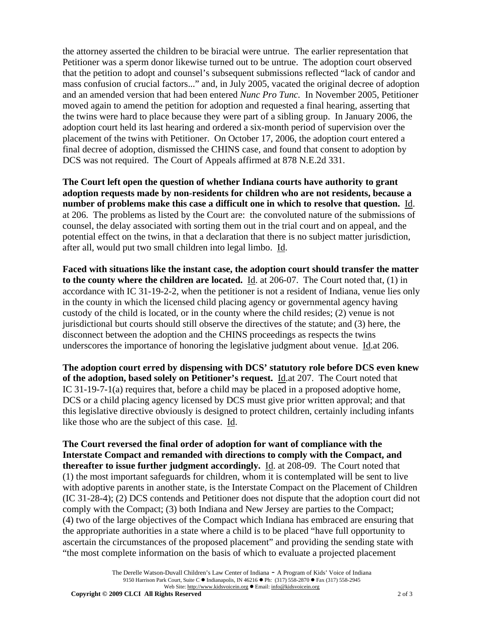the attorney asserted the children to be biracial were untrue. The earlier representation that Petitioner was a sperm donor likewise turned out to be untrue. The adoption court observed that the petition to adopt and counsel's subsequent submissions reflected "lack of candor and mass confusion of crucial factors..." and, in July 2005, vacated the original decree of adoption and an amended version that had been entered *Nunc Pro Tunc.* In November 2005, Petitioner moved again to amend the petition for adoption and requested a final hearing, asserting that the twins were hard to place because they were part of a sibling group. In January 2006, the adoption court held its last hearing and ordered a six-month period of supervision over the placement of the twins with Petitioner. On October 17, 2006, the adoption court entered a final decree of adoption, dismissed the CHINS case, and found that consent to adoption by DCS was not required. The Court of Appeals affirmed at 878 N.E.2d 331.

**The Court left open the question of whether Indiana courts have authority to grant adoption requests made by non-residents for children who are not residents, because a number of problems make this case a difficult one in which to resolve that question.** Id. at 206. The problems as listed by the Court are: the convoluted nature of the submissions of counsel, the delay associated with sorting them out in the trial court and on appeal, and the potential effect on the twins, in that a declaration that there is no subject matter jurisdiction, after all, would put two small children into legal limbo. Id.

**Faced with situations like the instant case, the adoption court should transfer the matter to the county where the children are located.** Id. at 206-07.The Court noted that, (1) in accordance with IC 31-19-2-2, when the petitioner is not a resident of Indiana, venue lies only in the county in which the licensed child placing agency or governmental agency having custody of the child is located, or in the county where the child resides; (2) venue is not jurisdictional but courts should still observe the directives of the statute; and (3) here, the disconnect between the adoption and the CHINS proceedings as respects the twins underscores the importance of honoring the legislative judgment about venue. Id.at 206.

**The adoption court erred by dispensing with DCS' statutory role before DCS even knew of the adoption, based solely on Petitioner's request.** Id.at 207. The Court noted that IC 31-19-7-1(a) requires that, before a child may be placed in a proposed adoptive home, DCS or a child placing agency licensed by DCS must give prior written approval; and that this legislative directive obviously is designed to protect children, certainly including infants like those who are the subject of this case. Id.

**The Court reversed the final order of adoption for want of compliance with the Interstate Compact and remanded with directions to comply with the Compact, and thereafter to issue further judgment accordingly.** Id. at 208-09. The Court noted that (1) the most important safeguards for children, whom it is contemplated will be sent to live with adoptive parents in another state, is the Interstate Compact on the Placement of Children (IC 31-28-4); (2) DCS contends and Petitioner does not dispute that the adoption court did not comply with the Compact; (3) both Indiana and New Jersey are parties to the Compact; (4) two of the large objectives of the Compact which Indiana has embraced are ensuring that the appropriate authorities in a state where a child is to be placed "have full opportunity to ascertain the circumstances of the proposed placement" and providing the sending state with "the most complete information on the basis of which to evaluate a projected placement

> The Derelle Watson-Duvall Children's Law Center of Indiana - A Program of Kids' Voice of Indiana 9150 Harrison Park Court, Suite C · Indianapolis, IN 46216 • Ph: (317) 558-2870 • Fax (317) 558-2945 Web Site: http://www.kidsvoicein.org · Email: info@kidsvoicein.org